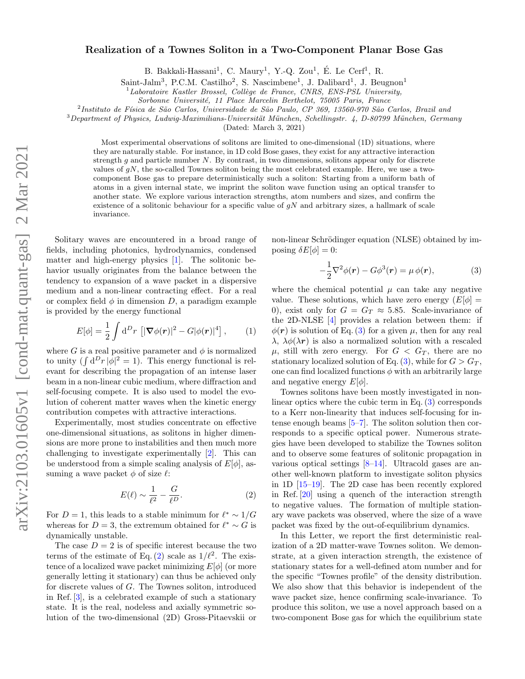# Realization of a Townes Soliton in a Two-Component Planar Bose Gas

B. Bakkali-Hassani<sup>1</sup>, C. Maury<sup>1</sup>, Y.-Q. Zou<sup>1</sup>, É. Le Cerf<sup>1</sup>, R.

Saint-Jalm<sup>3</sup>, P.C.M. Castilho<sup>2</sup>, S. Nascimbene<sup>1</sup>, J. Dalibard<sup>1</sup>, J. Beugnon<sup>1</sup>

Laboratoire Kastler Brossel, Collège de France, CNRS, ENS-PSL University,

Sorbonne Université, 11 Place Marcelin Berthelot, 75005 Paris, France

<sup>2</sup>Instituto de Física de São Carlos, Universidade de São Paulo, CP 369, 13560-970 São Carlos, Brazil and

 $3$ Department of Physics, Ludwig-Maximilians-Universität München, Schellingstr. 4, D-80799 München, Germany

(Dated: March 3, 2021)

Most experimental observations of solitons are limited to one-dimensional (1D) situations, where they are naturally stable. For instance, in 1D cold Bose gases, they exist for any attractive interaction strength  $g$  and particle number  $N$ . By contrast, in two dimensions, solitons appear only for discrete values of  $gN$ , the so-called Townes soliton being the most celebrated example. Here, we use a twocomponent Bose gas to prepare deterministically such a soliton: Starting from a uniform bath of atoms in a given internal state, we imprint the soliton wave function using an optical transfer to another state. We explore various interaction strengths, atom numbers and sizes, and confirm the existence of a solitonic behaviour for a specific value of  $gN$  and arbitrary sizes, a hallmark of scale invariance.

Solitary waves are encountered in a broad range of fields, including photonics, hydrodynamics, condensed matter and high-energy physics [\[1\]](#page-4-0). The solitonic behavior usually originates from the balance between the tendency to expansion of a wave packet in a dispersive medium and a non-linear contracting effect. For a real or complex field  $\phi$  in dimension D, a paradigm example is provided by the energy functional

<span id="page-0-2"></span>
$$
E[\phi] = \frac{1}{2} \int d^D r \left[ |\nabla \phi(\mathbf{r})|^2 - G |\phi(\mathbf{r})|^4 \right], \qquad (1)
$$

where G is a real positive parameter and  $\phi$  is normalized to unity  $(\int d^Dr |\phi|^2 = 1)$ . This energy functional is relevant for describing the propagation of an intense laser beam in a non-linear cubic medium, where diffraction and self-focusing compete. It is also used to model the evolution of coherent matter waves when the kinetic energy contribution competes with attractive interactions.

Experimentally, most studies concentrate on effective one-dimensional situations, as solitons in higher dimensions are more prone to instabilities and then much more challenging to investigate experimentally [\[2\]](#page-4-1). This can be understood from a simple scaling analysis of  $E[\phi]$ , assuming a wave packet  $\phi$  of size  $\ell$ :

<span id="page-0-0"></span>
$$
E(\ell) \sim \frac{1}{\ell^2} - \frac{G}{\ell^D}.\tag{2}
$$

For  $D = 1$ , this leads to a stable minimum for  $\ell^* \sim 1/G$ whereas for  $D = 3$ , the extremum obtained for  $\ell^* \sim G$  is dynamically unstable.

The case  $D = 2$  is of specific interest because the two terms of the estimate of Eq. [\(2\)](#page-0-0) scale as  $1/\ell^2$ . The existence of a localized wave packet minimizing  $E[\phi]$  (or more generally letting it stationary) can thus be achieved only for discrete values of G. The Townes soliton, introduced in Ref. [\[3\]](#page-4-2), is a celebrated example of such a stationary state. It is the real, nodeless and axially symmetric solution of the two-dimensional (2D) Gross-Pitaevskii or non-linear Schrödinger equation (NLSE) obtained by imposing  $\delta E[\phi] = 0$ :

<span id="page-0-1"></span>
$$
-\frac{1}{2}\nabla^2\phi(\mathbf{r}) - G\phi^3(\mathbf{r}) = \mu\,\phi(\mathbf{r}),\tag{3}
$$

where the chemical potential  $\mu$  can take any negative value. These solutions, which have zero energy  $(E[\phi] =$ 0), exist only for  $G = G_T \approx 5.85$ . Scale-invariance of the 2D-NLSE [\[4\]](#page-4-3) provides a relation between them: if  $\phi(\mathbf{r})$  is solution of Eq. [\(3\)](#page-0-1) for a given  $\mu$ , then for any real  $\lambda$ ,  $\lambda \phi(\lambda r)$  is also a normalized solution with a rescaled  $\mu$ , still with zero energy. For  $G < G_T$ , there are no stationary localized solution of Eq. [\(3\)](#page-0-1), while for  $G > G_T$ , one can find localized functions  $\phi$  with an arbitrarily large and negative energy  $E[\phi]$ .

Townes solitons have been mostly investigated in nonlinear optics where the cubic term in Eq.  $(3)$  corresponds to a Kerr non-linearity that induces self-focusing for intense enough beams  $[5–7]$  $[5–7]$ . The soliton solution then corresponds to a specific optical power. Numerous strategies have been developed to stabilize the Townes soliton and to observe some features of solitonic propagation in various optical settings  $[8-14]$  $[8-14]$ . Ultracold gases are another well-known platform to investigate soliton physics in 1D [\[15](#page-4-8)[–19\]](#page-4-9). The 2D case has been recently explored in Ref. [\[20\]](#page-4-10) using a quench of the interaction strength to negative values. The formation of multiple stationary wave packets was observed, where the size of a wave packet was fixed by the out-of-equilibrium dynamics.

In this Letter, we report the first deterministic realization of a 2D matter-wave Townes soliton. We demonstrate, at a given interaction strength, the existence of stationary states for a well-defined atom number and for the specific "Townes profile" of the density distribution. We also show that this behavior is independent of the wave packet size, hence confirming scale-invariance. To produce this soliton, we use a novel approach based on a two-component Bose gas for which the equilibrium state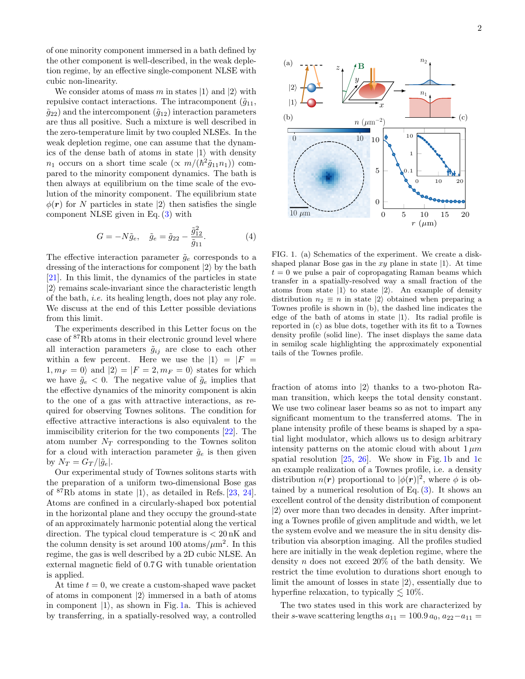of one minority component immersed in a bath defined by the other component is well-described, in the weak depletion regime, by an effective single-component NLSE with cubic non-linearity.

We consider atoms of mass m in states  $|1\rangle$  and  $|2\rangle$  with repulsive contact interactions. The intracomponent  $(\tilde{q}_{11},$  $\tilde{q}_{22}$ ) and the intercomponent  $(\tilde{q}_{12})$  interaction parameters are thus all positive. Such a mixture is well described in the zero-temperature limit by two coupled NLSEs. In the weak depletion regime, one can assume that the dynamics of the dense bath of atoms in state  $|1\rangle$  with density  $n_1$  occurs on a short time scale  $(\propto m/(\hbar^2 \tilde{g}_{11} n_1))$  compared to the minority component dynamics. The bath is then always at equilibrium on the time scale of the evolution of the minority component. The equilibrium state  $\phi(\mathbf{r})$  for N particles in state  $|2\rangle$  then satisfies the single component NLSE given in Eq. [\(3\)](#page-0-1) with

<span id="page-1-1"></span>
$$
G = -N\tilde{g}_e, \quad \tilde{g}_e = \tilde{g}_{22} - \frac{\tilde{g}_{12}^2}{\tilde{g}_{11}}.
$$
 (4)

The effective interaction parameter  $\tilde{g}_e$  corresponds to a dressing of the interactions for component  $|2\rangle$  by the bath [\[21\]](#page-4-11). In this limit, the dynamics of the particles in state  $|2\rangle$  remains scale-invariant since the characteristic length of the bath, i.e. its healing length, does not play any role. We discuss at the end of this Letter possible deviations from this limit.

The experiments described in this Letter focus on the case of <sup>87</sup>Rb atoms in their electronic ground level where all interaction parameters  $\tilde{g}_{ij}$  are close to each other within a few percent. Here we use the  $|1\rangle = |F|$  $1, m_F = 0$  and  $|2\rangle = |F = 2, m_F = 0$  states for which we have  $\tilde{g}_e < 0$ . The negative value of  $\tilde{g}_e$  implies that the effective dynamics of the minority component is akin to the one of a gas with attractive interactions, as required for observing Townes solitons. The condition for effective attractive interactions is also equivalent to the immiscibility criterion for the two components [\[22\]](#page-4-12). The atom number  $N_T$  corresponding to the Townes soliton for a cloud with interaction parameter  $\tilde{g}_e$  is then given by  $N_T = G_T/|\tilde{g}_e|$ .

Our experimental study of Townes solitons starts with the preparation of a uniform two-dimensional Bose gas of  ${}^{87}$ Rb atoms in state  $|1\rangle$ , as detailed in Refs. [\[23,](#page-4-13) [24\]](#page-4-14). Atoms are confined in a circularly-shaped box potential in the horizontal plane and they occupy the ground-state of an approximately harmonic potential along the vertical direction. The typical cloud temperature is  $\langle 20 \text{ nK} \rangle$  and the column density is set around 100 atoms/ $\mu$ m<sup>2</sup>. In this regime, the gas is well described by a 2D cubic NLSE. An external magnetic field of 0.7 G with tunable orientation is applied.

At time  $t = 0$ , we create a custom-shaped wave packet of atoms in component  $|2\rangle$  immersed in a bath of atoms in component  $|1\rangle$ , as shown in Fig. [1a](#page-1-0). This is achieved by transferring, in a spatially-resolved way, a controlled



<span id="page-1-0"></span>FIG. 1. (a) Schematics of the experiment. We create a diskshaped planar Bose gas in the xy plane in state  $|1\rangle$ . At time  $t = 0$  we pulse a pair of copropagating Raman beams which transfer in a spatially-resolved way a small fraction of the atoms from state  $|1\rangle$  to state  $|2\rangle$ . An example of density distribution  $n_2 \equiv n$  in state  $|2\rangle$  obtained when preparing a Townes profile is shown in (b), the dashed line indicates the edge of the bath of atoms in state  $|1\rangle$ . Its radial profile is reported in (c) as blue dots, together with its fit to a Townes density profile (solid line). The inset displays the same data in semilog scale highlighting the approximately exponential tails of the Townes profile.

fraction of atoms into  $|2\rangle$  thanks to a two-photon Raman transition, which keeps the total density constant. We use two colinear laser beams so as not to impart any significant momentum to the transferred atoms. The in plane intensity profile of these beams is shaped by a spatial light modulator, which allows us to design arbitrary intensity patterns on the atomic cloud with about  $1 \mu m$ spatial resolution  $[25, 26]$  $[25, 26]$  $[25, 26]$ . We show in Fig. [1b](#page-1-0) and [1c](#page-1-0) an example realization of a Townes profile, i.e. a density distribution  $n(r)$  proportional to  $|\phi(r)|^2$ , where  $\phi$  is obtained by a numerical resolution of Eq.  $(3)$ . It shows an excellent control of the density distribution of component  $|2\rangle$  over more than two decades in density. After imprinting a Townes profile of given amplitude and width, we let the system evolve and we measure the in situ density distribution via absorption imaging. All the profiles studied here are initially in the weak depletion regime, where the density  $n$  does not exceed 20% of the bath density. We restrict the time evolution to durations short enough to limit the amount of losses in state  $|2\rangle$ , essentially due to hyperfine relaxation, to typically  $\lesssim 10\%$ .

The two states used in this work are characterized by their s-wave scattering lengths  $a_{11} = 100.9 a_0, a_{22}-a_{11} =$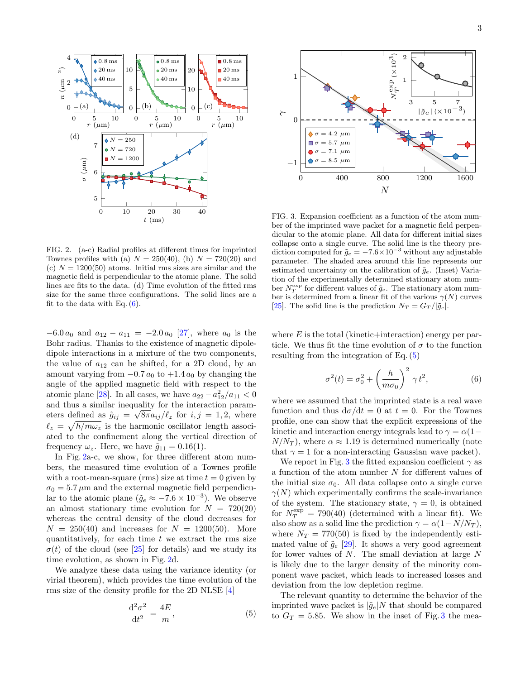

<span id="page-2-1"></span>FIG. 2. (a-c) Radial profiles at different times for imprinted Townes profiles with (a)  $N = 250(40)$ , (b)  $N = 720(20)$  and (c)  $N = 1200(50)$  atoms. Initial rms sizes are similar and the magnetic field is perpendicular to the atomic plane. The solid lines are fits to the data. (d) Time evolution of the fitted rms size for the same three configurations. The solid lines are a fit to the data with Eq.  $(6)$ .

 $-6.0 a_0$  and  $a_{12} - a_{11} = -2.0 a_0$  [\[27\]](#page-4-17), where  $a_0$  is the Bohr radius. Thanks to the existence of magnetic dipoledipole interactions in a mixture of the two components, the value of  $a_{12}$  can be shifted, for a 2D cloud, by an amount varying from  $-0.7 a_0$  to  $+1.4 a_0$  by changing the angle of the applied magnetic field with respect to the atomic plane [\[28\]](#page-4-18). In all cases, we have  $a_{22} - a_{12}^2/a_{11} < 0$ and thus a similar inequality for the interaction parameters defined as  $\tilde{g}_{ij} = \sqrt{8\pi a_{ij}}/\ell_z$  for  $i, j = 1, 2$ , where  $\ell_z = \sqrt{\hbar/m\omega_z}$  is the harmonic oscillator length associated to the confinement along the vertical direction of frequency  $\omega_z$ . Here, we have  $\tilde{g}_{11} = 0.16(1)$ .

In Fig. [2a](#page-2-1)-c, we show, for three different atom numbers, the measured time evolution of a Townes profile with a root-mean-square (rms) size at time  $t = 0$  given by  $\sigma_0 = 5.7 \,\mu \mathrm{m}$  and the external magnetic field perpendicular to the atomic plane  $(\tilde{g}_e \approx -7.6 \times 10^{-3})$ . We observe an almost stationary time evolution for  $N = 720(20)$ whereas the central density of the cloud decreases for  $N = 250(40)$  and increases for  $N = 1200(50)$ . More quantitatively, for each time  $t$  we extract the rms size  $\sigma(t)$  of the cloud (see [\[25\]](#page-4-15) for details) and we study its time evolution, as shown in Fig. [2d](#page-2-1).

We analyze these data using the variance identity (or virial theorem), which provides the time evolution of the rms size of the density profile for the 2D NLSE [\[4\]](#page-4-3)

<span id="page-2-2"></span>
$$
\frac{\mathrm{d}^2 \sigma^2}{\mathrm{d}t^2} = \frac{4E}{m},\tag{5}
$$



<span id="page-2-3"></span>FIG. 3. Expansion coefficient as a function of the atom number of the imprinted wave packet for a magnetic field perpendicular to the atomic plane. All data for different initial sizes collapse onto a single curve. The solid line is the theory prediction computed for  $\tilde{g}_e = -7.6 \times 10^{-3}$  without any adjustable parameter. The shaded area around this line represents our estimated uncertainty on the calibration of  $\tilde{g}_e$ . (Inset) Variation of the experimentally determined stationary atom number  $N_T^{\text{exp}}$  for different values of  $\tilde{g}_e$ . The stationary atom number is determined from a linear fit of the various  $\gamma(N)$  curves [\[25\]](#page-4-15). The solid line is the prediction  $N_T = G_T/|\tilde{g}_e|$ .

where  $E$  is the total (kinetic+interaction) energy per particle. We thus fit the time evolution of  $\sigma$  to the function resulting from the integration of Eq. [\(5\)](#page-2-2)

<span id="page-2-0"></span>
$$
\sigma^2(t) = \sigma_0^2 + \left(\frac{\hbar}{m\sigma_0}\right)^2 \gamma t^2, \tag{6}
$$

where we assumed that the imprinted state is a real wave function and thus  $d\sigma/dt = 0$  at  $t = 0$ . For the Townes profile, one can show that the explicit expressions of the kinetic and interaction energy integrals lead to  $\gamma = \alpha(1-\alpha)$  $N/N_T$ ), where  $\alpha \approx 1.19$  is determined numerically (note that  $\gamma = 1$  for a non-interacting Gaussian wave packet).

We report in Fig. [3](#page-2-3) the fitted expansion coefficient  $\gamma$  as a function of the atom number N for different values of the initial size  $\sigma_0$ . All data collapse onto a single curve  $\gamma(N)$  which experimentally confirms the scale-invariance of the system. The stationary state,  $\gamma = 0$ , is obtained for  $N_T^{\text{exp}} = 790(40)$  (determined with a linear fit). We also show as a solid line the prediction  $\gamma = \alpha(1 - N/N_T)$ , where  $N_T = 770(50)$  is fixed by the independently estimated value of  $\tilde{g}_e$  [\[29\]](#page-4-19). It shows a very good agreement for lower values of  $N$ . The small deviation at large  $N$ is likely due to the larger density of the minority component wave packet, which leads to increased losses and deviation from the low depletion regime.

The relevant quantity to determine the behavior of the imprinted wave packet is  $|\tilde{g}_e|N$  that should be compared to  $G_T = 5.85$ . We show in the inset of Fig. [3](#page-2-3) the mea-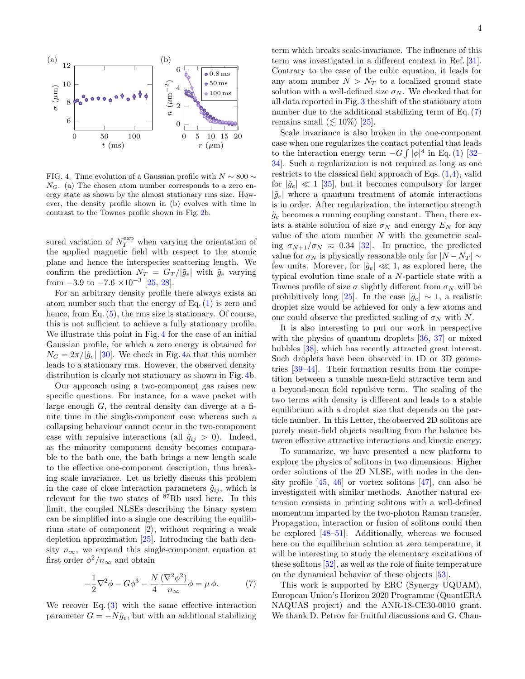

<span id="page-3-0"></span>FIG. 4. Time evolution of a Gaussian profile with  $N \sim 800 \sim$  $N_G$ . (a) The chosen atom number corresponds to a zero energy state as shown by the almost stationary rms size. However, the density profile shown in (b) evolves with time in contrast to the Townes profile shown in Fig. [2b](#page-2-1).

sured variation of  $N_T^{\text{exp}}$  when varying the orientation of the applied magnetic field with respect to the atomic plane and hence the interspecies scattering length. We confirm the prediction  $N_T = G_T/|\tilde{g}_e|$  with  $\tilde{g}_e$  varying from  $-3.9$  to  $-7.6 \times 10^{-3}$  [\[25,](#page-4-15) [28\]](#page-4-18).

For an arbitrary density profile there always exists an atom number such that the energy of Eq. [\(1\)](#page-0-2) is zero and hence, from Eq.  $(5)$ , the rms size is stationary. Of course, this is not sufficient to achieve a fully stationary profile. We illustrate this point in Fig. [4](#page-3-0) for the case of an initial Gaussian profile, for which a zero energy is obtained for  $N_G = 2\pi/|\tilde{q}_e|$  [\[30\]](#page-4-20). We check in Fig. [4a](#page-3-0) that this number leads to a stationary rms. However, the observed density distribution is clearly not stationary as shown in Fig. [4b](#page-3-0).

Our approach using a two-component gas raises new specific questions. For instance, for a wave packet with large enough  $G$ , the central density can diverge at a finite time in the single-component case whereas such a collapsing behaviour cannot occur in the two-component case with repulsive interactions (all  $\tilde{g}_{ij} > 0$ ). Indeed, as the minority component density becomes comparable to the bath one, the bath brings a new length scale to the effective one-component description, thus breaking scale invariance. Let us briefly discuss this problem in the case of close interaction parameters  $\tilde{g}_{ij},$  which is relevant for the two states of <sup>87</sup>Rb used here. In this limit, the coupled NLSEs describing the binary system can be simplified into a single one describing the equilibrium state of component  $|2\rangle$ , without requiring a weak depletion approximation [\[25\]](#page-4-15). Introducing the bath density  $n_{\infty}$ , we expand this single-component equation at first order  $\phi^2/n_{\infty}$  and obtain

<span id="page-3-1"></span>
$$
-\frac{1}{2}\nabla^2\phi - G\phi^3 - \frac{N}{4}\frac{(\nabla^2\phi^2)}{n_{\infty}}\phi = \mu\phi.
$$
 (7)

We recover Eq.  $(3)$  with the same effective interaction parameter  $G = -N\tilde{g}_e$ , but with an additional stabilizing

term which breaks scale-invariance. The influence of this term was investigated in a different context in Ref. [\[31\]](#page-4-21). Contrary to the case of the cubic equation, it leads for any atom number  $N > N_T$  to a localized ground state solution with a well-defined size  $\sigma_N$ . We checked that for all data reported in Fig. [3](#page-2-3) the shift of the stationary atom number due to the additional stabilizing term of Eq.  $(7)$ remains small  $(\lesssim 10\%)$  [\[25\]](#page-4-15).

Scale invariance is also broken in the one-component case when one regularizes the contact potential that leads to the interaction energy term  $-G \int |\phi|^4$  in Eq. [\(1\)](#page-0-2) [\[32–](#page-4-22) [34\]](#page-5-0). Such a regularization is not required as long as one restricts to the classical field approach of Eqs.  $(1,4)$  $(1,4)$ , valid for  $|\tilde{g}_e| \ll 1$  [\[35\]](#page-5-1), but it becomes compulsory for larger  $|\tilde{g}_e|$  where a quantum treatment of atomic interactions is in order. After regularization, the interaction strength  $\tilde{g}_e$  becomes a running coupling constant. Then, there exists a stable solution of size  $\sigma_N$  and energy  $E_N$  for any value of the atom number  $N$  with the geometric scaling  $\sigma_{N+1}/\sigma_N \approx 0.34$  [\[32\]](#page-4-22). In practice, the predicted value for  $\sigma_N$  is physically reasonable only for  $|N - N_T| \sim$ few units. Morever, for  $|\tilde{g}_e| \ll 1$ , as explored here, the typical evolution time scale of a N-particle state with a Townes profile of size  $\sigma$  slightly different from  $\sigma_N$  will be prohibitively long [\[25\]](#page-4-15). In the case  $|\tilde{g}_e| \sim 1$ , a realistic droplet size would be achieved for only a few atoms and one could observe the predicted scaling of  $\sigma_N$  with N.

It is also interesting to put our work in perspective with the physics of quantum droplets [\[36,](#page-5-2) [37\]](#page-5-3) or mixed bubbles [\[38\]](#page-5-4), which has recently attracted great interest. Such droplets have been observed in 1D or 3D geometries [\[39–](#page-5-5)[44\]](#page-5-6). Their formation results from the competition between a tunable mean-field attractive term and a beyond-mean field repulsive term. The scaling of the two terms with density is different and leads to a stable equilibrium with a droplet size that depends on the particle number. In this Letter, the observed 2D solitons are purely mean-field objects resulting from the balance between effective attractive interactions and kinetic energy.

To summarize, we have presented a new platform to explore the physics of solitons in two dimensions. Higher order solutions of the 2D NLSE, with nodes in the density profile [\[45,](#page-5-7) [46\]](#page-5-8) or vortex solitons [\[47\]](#page-5-9), can also be investigated with similar methods. Another natural extension consists in printing solitons with a well-defined momentum imparted by the two-photon Raman transfer. Propagation, interaction or fusion of solitons could then be explored [\[48–](#page-5-10)[51\]](#page-5-11). Additionally, whereas we focused here on the equilibrium solution at zero temperature, it will be interesting to study the elementary excitations of these solitons [\[52\]](#page-5-12), as well as the role of finite temperature on the dynamical behavior of these objects [\[53\]](#page-5-13).

This work is supported by ERC (Synergy UQUAM), European Union's Horizon 2020 Programme (QuantERA NAQUAS project) and the ANR-18-CE30-0010 grant. We thank D. Petrov for fruitful discussions and G. Chau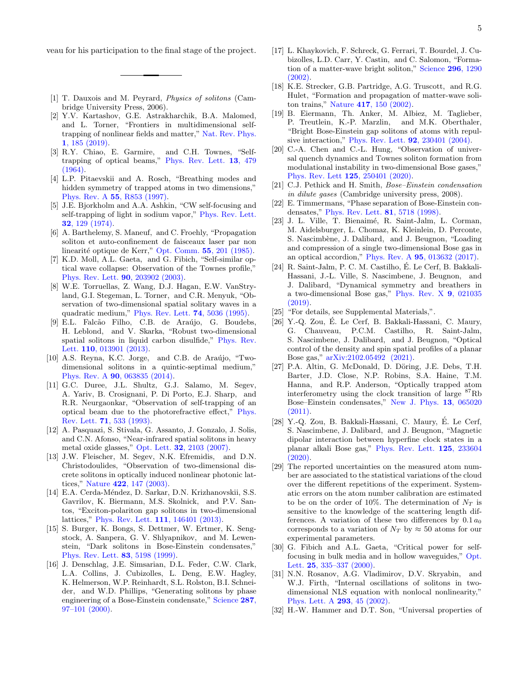veau for his participation to the final stage of the project.

- <span id="page-4-0"></span>[1] T. Dauxois and M. Peyrard, Physics of solitons (Cambridge University Press, 2006).
- <span id="page-4-1"></span>[2] Y.V. Kartashov, G.E. Astrakharchik, B.A. Malomed, and L. Torner, "Frontiers in multidimensional selftrapping of nonlinear fields and matter," [Nat. Rev. Phys.](https://doi.org/10.1038/s42254-019-0025-7) 1[, 185 \(2019\).](https://doi.org/10.1038/s42254-019-0025-7)
- <span id="page-4-2"></span>[3] R.Y. Chiao, E. Garmire, and C.H. Townes, "Selftrapping of optical beams," [Phys. Rev. Lett.](https://doi.org/10.1103/PhysRevLett.13.479) 13, 479 [\(1964\).](https://doi.org/10.1103/PhysRevLett.13.479)
- <span id="page-4-3"></span>[4] L.P. Pitaevskii and A. Rosch, "Breathing modes and hidden symmetry of trapped atoms in two dimensions," Phys. Rev. A 55[, R853 \(1997\).](https://doi.org/ 10.1103/PhysRevA.55.R853)
- <span id="page-4-4"></span>[5] J.E. Bjorkholm and A.A. Ashkin, "CW self-focusing and self-trapping of light in sodium vapor," [Phys. Rev. Lett.](https://doi.org/ 10.1103/PhysRevLett.32.129) 32[, 129 \(1974\).](https://doi.org/ 10.1103/PhysRevLett.32.129)
- [6] A. Barthelemy, S. Maneuf, and C. Froehly, "Propagation soliton et auto-confinement de faisceaux laser par non linearité optique de Kerr," [Opt. Comm.](https://doi.org/10.1016/0030-4018(85)90047-1) 55, 201 (1985).
- <span id="page-4-5"></span>[7] K.D. Moll, A.L. Gaeta, and G. Fibich, "Self-similar optical wave collapse: Observation of the Townes profile," [Phys. Rev. Lett.](https://doi.org/ 10.1103/PhysRevLett.90.203902) 90, 203902 (2003).
- <span id="page-4-6"></span>[8] W.E. Torruellas, Z. Wang, D.J. Hagan, E.W. VanStryland, G.I. Stegeman, L. Torner, and C.R. Menyuk, "Observation of two-dimensional spatial solitary waves in a quadratic medium," [Phys. Rev. Lett.](https://doi.org/10.1103/PhysRevLett.74.5036) 74, 5036 (1995).
- [9] E.L. Falcão Filho, C.B. de Araújo, G. Boudebs, H. Leblond, and V. Skarka, "Robust two-dimensional spatial solitons in liquid carbon disulfide," [Phys. Rev.](https://doi.org/ 10.1103/PhysRevLett.110.013901) Lett. **110**[, 013901 \(2013\).](https://doi.org/ 10.1103/PhysRevLett.110.013901)
- [10] A.S. Reyna, K.C. Jorge, and C.B. de Araújo, "Twodimensional solitons in a quintic-septimal medium," Phys. Rev. A 90[, 063835 \(2014\).](https://doi.org/10.1103/PhysRevA.90.063835)
- [11] G.C. Duree, J.L. Shultz, G.J. Salamo, M. Segev, A. Yariv, B. Crosignani, P. Di Porto, E.J. Sharp, and R.R. Neurgaonkar, "Observation of self-trapping of an optical beam due to the photorefractive effect," [Phys.](https://doi.org/10.1103/PhysRevLett.71.533) Rev. Lett. 71[, 533 \(1993\).](https://doi.org/10.1103/PhysRevLett.71.533)
- [12] A. Pasquazi, S. Stivala, G. Assanto, J. Gonzalo, J. Solis, and C.N. Afonso, "Near-infrared spatial solitons in heavy metal oxide glasses," Opt. Lett. 32[, 2103 \(2007\).](https://doi.org/10.1364/OL.32.002103)
- [13] J.W. Fleischer, M. Segev, N.K. Efremidis, and D.N. Christodoulides, "Observation of two-dimensional discrete solitons in optically induced nonlinear photonic lattices," Nature 422[, 147 \(2003\).](https://doi.org/10.1038/nature01452)
- <span id="page-4-7"></span>[14] E.A. Cerda-Méndez, D. Sarkar, D.N. Krizhanovskii, S.S. Gavrilov, K. Biermann, M.S. Skolnick, and P.V. Santos, "Exciton-polariton gap solitons in two-dimensional lattices," [Phys. Rev. Lett.](https://doi.org/10.1103/PhysRevLett.111.146401) 111, 146401 (2013).
- <span id="page-4-8"></span>[15] S. Burger, K. Bongs, S. Dettmer, W. Ertmer, K. Sengstock, A. Sanpera, G. V. Shlyapnikov, and M. Lewenstein, "Dark solitons in Bose-Einstein condensates," [Phys. Rev. Lett.](https://doi.org/ 10.1103/PhysRevLett.83.5198) 83, 5198 (1999).
- [16] J. Denschlag, J.E. Simsarian, D.L. Feder, C.W. Clark, L.A. Collins, J. Cubizolles, L. Deng, E.W. Hagley, K. Helmerson, W.P. Reinhardt, S.L. Rolston, B.I. Schneider, and W.D. Phillips, "Generating solitons by phase engineering of a Bose-Einstein condensate," [Science](https://doi.org/10.1126/science.287.5450.97) 287, [97–101 \(2000\).](https://doi.org/10.1126/science.287.5450.97)
- [17] L. Khaykovich, F. Schreck, G. Ferrari, T. Bourdel, J. Cubizolles, L.D. Carr, Y. Castin, and C. Salomon, "Formation of a matter-wave bright soliton," [Science](https://doi.org/10.1126/science.1071021) 296, 1290 [\(2002\).](https://doi.org/10.1126/science.1071021)
- [18] K.E. Strecker, G.B. Partridge, A.G. Truscott, and R.G. Hulet, "Formation and propagation of matter-wave soliton trains," Nature 417[, 150 \(2002\).](https://doi.org/10.1038/nature747)
- <span id="page-4-9"></span>[19] B. Eiermann, Th. Anker, M. Albiez, M. Taglieber, P. Treutlein, K.-P. Marzlin, and M.K. Oberthaler, "Bright Bose-Einstein gap solitons of atoms with repulsive interaction," [Phys. Rev. Lett.](https://doi.org/ 10.1103/PhysRevLett.92.230401) 92, 230401 (2004).
- <span id="page-4-10"></span>[20] C.-A. Chen and C.-L. Hung, "Observation of universal quench dynamics and Townes soliton formation from modulational instability in two-dimensional Bose gases," [Phys. Rev. Lett](https://link.aps.org/doi/10.1103/PhysRevLett.XXX) 125, 250401 (2020).
- <span id="page-4-11"></span>[21] C.J. Pethick and H. Smith, Bose–Einstein condensation in dilute gases (Cambridge university press, 2008).
- <span id="page-4-12"></span>[22] E. Timmermans, "Phase separation of Bose-Einstein condensates," [Phys. Rev. Lett.](https://doi.org/ 10.1103/PhysRevLett.81.5718) 81, 5718 (1998).
- <span id="page-4-13"></span>[23] J. L. Ville, T. Bienaimé, R. Saint-Jalm, L. Corman, M. Aidelsburger, L. Chomaz, K. Kleinlein, D. Perconte, S. Nascimbène, J. Dalibard, and J. Beugnon, "Loading and compression of a single two-dimensional Bose gas in an optical accordion," Phys. Rev. A 95[, 013632 \(2017\).](https://doi.org/10.1103/PhysRevA.95.013632)
- <span id="page-4-14"></span>[24] R. Saint-Jalm, P. C. M. Castilho, É. Le Cerf, B. Bakkali-Hassani, J.-L. Ville, S. Nascimbene, J. Beugnon, and J. Dalibard, "Dynamical symmetry and breathers in a two-dimensional Bose gas," [Phys. Rev. X](https://doi.org/10.1103/PhysRevX.9.021035) 9, 021035 [\(2019\).](https://doi.org/10.1103/PhysRevX.9.021035)
- <span id="page-4-15"></span>[25] "For details, see Supplemental Materials,".
- <span id="page-4-16"></span>[26] Y.-Q. Zou, É. Le Cerf, B. Bakkali-Hassani, C. Maury, G. Chauveau, P.C.M. Castilho, R. Saint-Jalm, S. Nascimbene, J. Dalibard, and J. Beugnon, "Optical control of the density and spin spatial profiles of a planar Bose gas," [arXiv:2102.05492 \(2021\).](https://arxiv.org/abs/2102.05492)
- <span id="page-4-17"></span>[27] P.A. Altin, G. McDonald, D. Döring, J.E. Debs, T.H. Barter, J.D. Close, N.P. Robins, S.A. Haine, T.M. Hanna, and R.P. Anderson, "Optically trapped atom interferometry using the clock transition of large  ${}^{87}Rb$ Bose–Einstein condensates," [New J. Phys.](https://doi.org/10.1088/1367-2630/13/6/065020) 13, 065020 [\(2011\).](https://doi.org/10.1088/1367-2630/13/6/065020)
- <span id="page-4-18"></span>[28] Y.-Q. Zou, B. Bakkali-Hassani, C. Maury, É. Le Cerf, S. Nascimbene, J. Dalibard, and J. Beugnon, "Magnetic dipolar interaction between hyperfine clock states in a planar alkali Bose gas," [Phys. Rev. Lett.](https://doi.org/ 10.1103/PhysRevLett.125.233604) 125, 233604 [\(2020\).](https://doi.org/ 10.1103/PhysRevLett.125.233604)
- <span id="page-4-19"></span>[29] The reported uncertainties on the measured atom number are associated to the statistical variations of the cloud over the different repetitions of the experiment. Systematic errors on the atom number calibration are estimated to be on the order of 10%. The determination of  $N_T$  is sensitive to the knowledge of the scattering length differences. A variation of these two differences by  $0.1 a_0$ corresponds to a variation of  $N_T$  by  $\approx 50$  atoms for our experimental parameters.
- <span id="page-4-20"></span>[30] G. Fibich and A.L. Gaeta, "Critical power for selffocusing in bulk media and in hollow waveguides," [Opt.](https://doi.org/ 10.1364/OL.25.000335) Lett. **25**[, 335–337 \(2000\).](https://doi.org/ 10.1364/OL.25.000335)
- <span id="page-4-21"></span>[31] N.N. Rosanov, A.G. Vladimirov, D.V. Skryabin, and W.J. Firth, "Internal oscillations of solitons in twodimensional NLS equation with nonlocal nonlinearity," [Phys. Lett. A](https://doi.org/10.1016/S0375-9601(01)00835-0) 293, 45 (2002).
- <span id="page-4-22"></span>[32] H.-W. Hammer and D.T. Son, "Universal properties of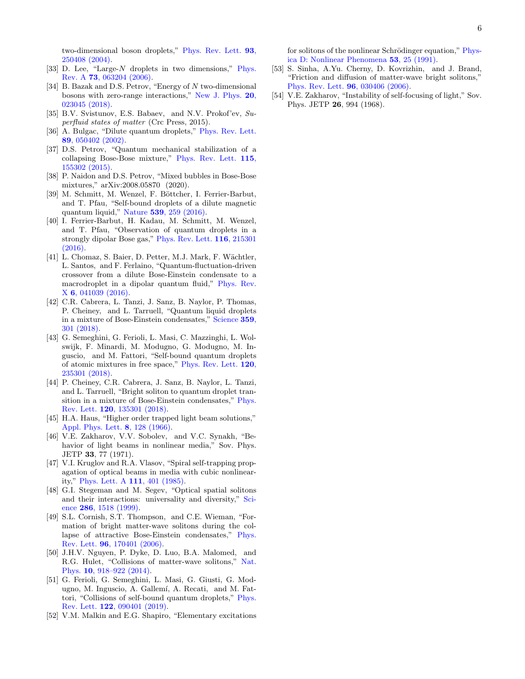two-dimensional boson droplets," [Phys. Rev. Lett.](https://doi.org/ 10.1103/PhysRevLett.93.250408) 93, [250408 \(2004\).](https://doi.org/ 10.1103/PhysRevLett.93.250408)

- [33] D. Lee, "Large-N droplets in two dimensions," [Phys.](https://doi.org/10.1103/PhysRevA.73.063204) Rev. A 73[, 063204 \(2006\).](https://doi.org/10.1103/PhysRevA.73.063204)
- <span id="page-5-0"></span>[34] B. Bazak and D.S. Petrov, "Energy of N two-dimensional bosons with zero-range interactions," [New J. Phys.](https://doi.org/10.1088/1367-2630/aaa64f) 20, [023045 \(2018\).](https://doi.org/10.1088/1367-2630/aaa64f)
- <span id="page-5-1"></span>[35] B.V. Svistunov, E.S. Babaev, and N.V. Prokof'ev, Superfluid states of matter (Crc Press, 2015).
- <span id="page-5-2"></span>[36] A. Bulgac, "Dilute quantum droplets," [Phys. Rev. Lett.](https://doi.org/10.1103/PhysRevLett.89.050402) 89[, 050402 \(2002\).](https://doi.org/10.1103/PhysRevLett.89.050402)
- <span id="page-5-3"></span>[37] D.S. Petrov, "Quantum mechanical stabilization of a collapsing Bose-Bose mixture," [Phys. Rev. Lett.](https://doi.org/10.1103/PhysRevLett.115.155302) 115, [155302 \(2015\).](https://doi.org/10.1103/PhysRevLett.115.155302)
- <span id="page-5-4"></span>[38] P. Naidon and D.S. Petrov, "Mixed bubbles in Bose-Bose mixtures," arXiv:2008.05870 (2020).
- <span id="page-5-5"></span>[39] M. Schmitt, M. Wenzel, F. Böttcher, I. Ferrier-Barbut, and T. Pfau, "Self-bound droplets of a dilute magnetic quantum liquid," Nature 539[, 259 \(2016\).](https://doi.org/10.1038/nature20126)
- [40] I. Ferrier-Barbut, H. Kadau, M. Schmitt, M. Wenzel, and T. Pfau, "Observation of quantum droplets in a strongly dipolar Bose gas," [Phys. Rev. Lett.](https://doi.org/10.1103/PhysRevLett.116.215301) 116, 215301 [\(2016\).](https://doi.org/10.1103/PhysRevLett.116.215301)
- [41] L. Chomaz, S. Baier, D. Petter, M.J. Mark, F. Wächtler, L. Santos, and F. Ferlaino, "Quantum-fluctuation-driven crossover from a dilute Bose-Einstein condensate to a macrodroplet in a dipolar quantum fluid," [Phys. Rev.](https://doi.org/10.1103/PhysRevX.6.041039) X 6[, 041039 \(2016\).](https://doi.org/10.1103/PhysRevX.6.041039)
- [42] C.R. Cabrera, L. Tanzi, J. Sanz, B. Naylor, P. Thomas, P. Cheiney, and L. Tarruell, "Quantum liquid droplets in a mixture of Bose-Einstein condensates," [Science](https://doi.org/10.1126/science.aao5686) 359, [301 \(2018\).](https://doi.org/10.1126/science.aao5686)
- [43] G. Semeghini, G. Ferioli, L. Masi, C. Mazzinghi, L. Wolswijk, F. Minardi, M. Modugno, G. Modugno, M. Inguscio, and M. Fattori, "Self-bound quantum droplets of atomic mixtures in free space," [Phys. Rev. Lett.](https://doi.org/10.1103/PhysRevLett.120.235301) 120, [235301 \(2018\).](https://doi.org/10.1103/PhysRevLett.120.235301)
- <span id="page-5-6"></span>[44] P. Cheiney, C.R. Cabrera, J. Sanz, B. Naylor, L. Tanzi, and L. Tarruell, "Bright soliton to quantum droplet transition in a mixture of Bose-Einstein condensates," [Phys.](https://doi.org/ 10.1103/PhysRevLett.120.135301) Rev. Lett. 120[, 135301 \(2018\).](https://doi.org/ 10.1103/PhysRevLett.120.135301)
- <span id="page-5-7"></span>[45] H.A. Haus, "Higher order trapped light beam solutions," [Appl. Phys. Lett.](https://doi.org/10.1063/1.1754519) 8, 128 (1966).
- <span id="page-5-8"></span>[46] V.E. Zakharov, V.V. Sobolev, and V.C. Synakh, "Behavior of light beams in nonlinear media," Sov. Phys. JETP 33, 77 (1971).
- <span id="page-5-9"></span>[47] V.I. Kruglov and R.A. Vlasov, "Spiral self-trapping propagation of optical beams in media with cubic nonlinearity," [Phys. Lett. A](https://doi.org/ https://doi.org/10.1016/0375-9601(85)90481-5) 111, 401 (1985).
- <span id="page-5-10"></span>[48] G.I. Stegeman and M. Segev, "Optical spatial solitons and their interactions: universality and diversity," [Sci](https://doi.org/10.1126/science.286.5444.1518)ence 286[, 1518 \(1999\).](https://doi.org/10.1126/science.286.5444.1518)
- [49] S.L. Cornish, S.T. Thompson, and C.E. Wieman, "Formation of bright matter-wave solitons during the collapse of attractive Bose-Einstein condensates," [Phys.](https://doi.org/10.1103/PhysRevLett.96.170401) Rev. Lett. 96[, 170401 \(2006\).](https://doi.org/10.1103/PhysRevLett.96.170401)
- [50] J.H.V. Nguyen, P. Dyke, D. Luo, B.A. Malomed, and R.G. Hulet, "Collisions of matter-wave solitons," [Nat.](https://doi.org/10.1038/nphys3135) Phys. 10[, 918–922 \(2014\).](https://doi.org/10.1038/nphys3135)
- <span id="page-5-11"></span>[51] G. Ferioli, G. Semeghini, L. Masi, G. Giusti, G. Modugno, M. Inguscio, A. Gallemí, A. Recati, and M. Fattori, "Collisions of self-bound quantum droplets," [Phys.](https://doi.org/ 10.1103/PhysRevLett.122.090401) Rev. Lett. 122[, 090401 \(2019\).](https://doi.org/ 10.1103/PhysRevLett.122.090401)
- <span id="page-5-12"></span>[52] V.M. Malkin and E.G. Shapiro, "Elementary excitations

for solitons of the nonlinear Schrödinger equation," [Phys](https://doi.org/10.1016/0167-2789(91)90161-2)[ica D: Nonlinear Phenomena](https://doi.org/10.1016/0167-2789(91)90161-2) 53, 25 (1991).

- <span id="page-5-13"></span>[53] S. Sinha, A.Yu. Cherny, D. Kovrizhin, and J. Brand, "Friction and diffusion of matter-wave bright solitons," [Phys. Rev. Lett.](https://doi.org/10.1103/PhysRevLett.96.030406) 96, 030406 (2006).
- <span id="page-5-14"></span>[54] V.E. Zakharov, "Instability of self-focusing of light," Sov. Phys. JETP 26, 994 (1968).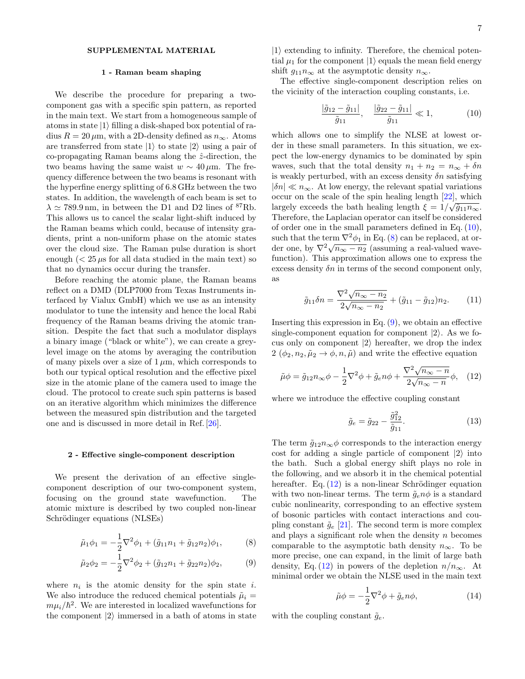# SUPPLEMENTAL MATERIAL

### 1 - Raman beam shaping

We describe the procedure for preparing a twocomponent gas with a specific spin pattern, as reported in the main text. We start from a homogeneous sample of atoms in state  $|1\rangle$  filling a disk-shaped box potential of radius  $R = 20 \,\mu\text{m}$ , with a 2D-density defined as  $n_{\infty}$ . Atoms are transferred from state  $|1\rangle$  to state  $|2\rangle$  using a pair of co-propagating Raman beams along the  $\hat{z}$ -direction, the two beams having the same waist  $w \sim 40 \,\mu \text{m}$ . The frequency difference between the two beams is resonant with the hyperfine energy splitting of 6.8 GHz between the two states. In addition, the wavelength of each beam is set to  $\lambda \simeq 789.9 \,\mathrm{nm}$ , in between the D1 and D2 lines of <sup>87</sup>Rb. This allows us to cancel the scalar light-shift induced by the Raman beams which could, because of intensity gradients, print a non-uniform phase on the atomic states over the cloud size. The Raman pulse duration is short enough  $\left($  < 25  $\mu$ s for all data studied in the main text) so that no dynamics occur during the transfer.

Before reaching the atomic plane, the Raman beams reflect on a DMD (DLP7000 from Texas Instruments interfaced by Vialux GmbH) which we use as an intensity modulator to tune the intensity and hence the local Rabi frequency of the Raman beams driving the atomic transition. Despite the fact that such a modulator displays a binary image ("black or white"), we can create a greylevel image on the atoms by averaging the contribution of many pixels over a size of  $1 \mu m$ , which corresponds to both our typical optical resolution and the effective pixel size in the atomic plane of the camera used to image the cloud. The protocol to create such spin patterns is based on an iterative algorithm which minimizes the difference between the measured spin distribution and the targeted one and is discussed in more detail in Ref. [\[26\]](#page-4-16).

#### 2 - Effective single-component description

We present the derivation of an effective singlecomponent description of our two-component system, focusing on the ground state wavefunction. The atomic mixture is described by two coupled non-linear Schrödinger equations (NLSEs)

$$
\tilde{\mu}_1 \phi_1 = -\frac{1}{2} \nabla^2 \phi_1 + (\tilde{g}_{11} n_1 + \tilde{g}_{12} n_2) \phi_1, \tag{8}
$$

$$
\tilde{\mu}_2 \phi_2 = -\frac{1}{2} \nabla^2 \phi_2 + (\tilde{g}_{12} n_1 + \tilde{g}_{22} n_2) \phi_2, \tag{9}
$$

where  $n_i$  is the atomic density for the spin state i. We also introduce the reduced chemical potentials  $\tilde{\mu}_i =$  $m\mu_i/\hbar^2$ . We are interested in localized wavefunctions for the component  $|2\rangle$  immersed in a bath of atoms in state

 $|1\rangle$  extending to infinity. Therefore, the chemical potential  $\mu_1$  for the component  $|1\rangle$  equals the mean field energy shift  $g_{11}n_{\infty}$  at the asymptotic density  $n_{\infty}$ .

The effective single-component description relies on the vicinity of the interaction coupling constants, i.e.

<span id="page-6-0"></span>
$$
\frac{|\tilde{g}_{12} - \tilde{g}_{11}|}{\tilde{g}_{11}}, \quad \frac{|\tilde{g}_{22} - \tilde{g}_{11}|}{\tilde{g}_{11}} \ll 1, \tag{10}
$$

which allows one to simplify the NLSE at lowest order in these small parameters. In this situation, we expect the low-energy dynamics to be dominated by spin waves, such that the total density  $n_1 + n_2 = n_\infty + \delta n$ is weakly perturbed, with an excess density  $\delta n$  satisfying  $|\delta n| \ll n_{\infty}$ . At low energy, the relevant spatial variations occur on the scale of the spin healing length  $[22]$ , which largely exceeds the bath healing length  $\xi = 1/\sqrt{\tilde{g}_{11} n_{\infty}}$ . Therefore, the Laplacian operator can itself be considered of order one in the small parameters defined in Eq.  $(10)$ , such that the term  $\nabla^2 \phi_1$  in Eq. [\(8\)](#page-6-1) can be replaced, at orsuch that the term  $\sqrt{\phi_1}$  in Eq. (8) can be replaced, at order one, by  $\nabla^2 \sqrt{n_{\infty} - n_2}$  (assuming a real-valued wavefunction). This approximation allows one to express the excess density  $\delta n$  in terms of the second component only, as

$$
\tilde{g}_{11}\delta n = \frac{\nabla^2 \sqrt{n_{\infty} - n_2}}{2\sqrt{n_{\infty} - n_2}} + (\tilde{g}_{11} - \tilde{g}_{12})n_2.
$$
 (11)

Inserting this expression in Eq.  $(9)$ , we obtain an effective single-component equation for component  $|2\rangle$ . As we focus only on component  $|2\rangle$  hereafter, we drop the index 2  $(\phi_2, n_2, \tilde{\mu}_2 \rightarrow \phi, n, \tilde{\mu})$  and write the effective equation

<span id="page-6-3"></span>
$$
\tilde{\mu}\phi = \tilde{g}_{12}n_{\infty}\phi - \frac{1}{2}\nabla^2\phi + \tilde{g}_e n\phi + \frac{\nabla^2\sqrt{n_{\infty} - n}}{2\sqrt{n_{\infty} - n}}\phi, \quad (12)
$$

where we introduce the effective coupling constant

$$
\tilde{g}_e = \tilde{g}_{22} - \frac{\tilde{g}_{12}^2}{\tilde{g}_{11}}.
$$
\n(13)

The term  $\tilde{g}_{12}n_{\infty}\phi$  corresponds to the interaction energy cost for adding a single particle of component  $|2\rangle$  into the bath. Such a global energy shift plays no role in the following, and we absorb it in the chemical potential hereafter. Eq.  $(12)$  is a non-linear Schrödinger equation with two non-linear terms. The term  $\tilde{g}_e n \phi$  is a standard cubic nonlinearity, corresponding to an effective system of bosonic particles with contact interactions and coupling constant  $\tilde{g}_e$  [\[21\]](#page-4-11). The second term is more complex and plays a significant role when the density  $n$  becomes comparable to the asymptotic bath density  $n_{\infty}$ . To be more precise, one can expand, in the limit of large bath density, Eq. [\(12\)](#page-6-3) in powers of the depletion  $n/n_{\infty}$ . At minimal order we obtain the NLSE used in the main text

<span id="page-6-4"></span>
$$
\tilde{\mu}\phi = -\frac{1}{2}\nabla^2\phi + \tilde{g}_e n\phi,\tag{14}
$$

<span id="page-6-2"></span><span id="page-6-1"></span>with the coupling constant  $\tilde{g}_e$ .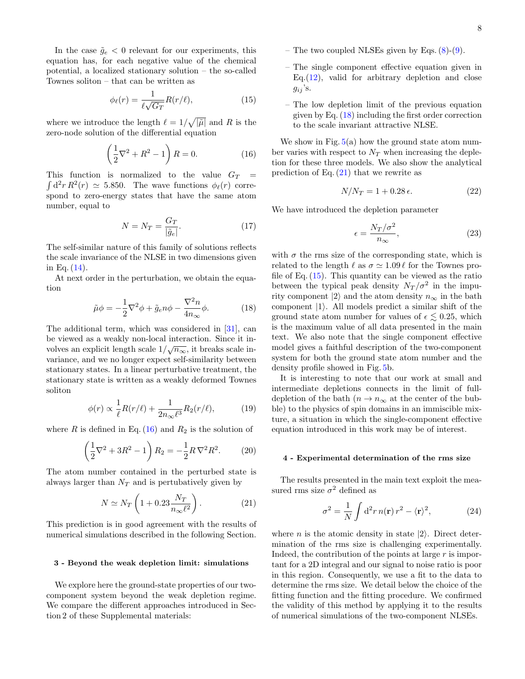In the case  $\tilde{g}_e < 0$  relevant for our experiments, this equation has, for each negative value of the chemical potential, a localized stationary solution – the so-called Townes soliton – that can be written as

<span id="page-7-3"></span>
$$
\phi_{\ell}(r) = \frac{1}{\ell \sqrt{G_T}} R(r/\ell),\tag{15}
$$

where we introduce the length  $\ell = 1/\sqrt{|\tilde{\mu}|}$  and R is the zero-node solution of the differential equation

<span id="page-7-0"></span>
$$
\left(\frac{1}{2}\nabla^2 + R^2 - 1\right)R = 0.\tag{16}
$$

This function is normalized to the value  $G_T =$  $\int d^2r R^2(r) \simeq 5.850$ . The wave functions  $\phi_{\ell}(r)$  correspond to zero-energy states that have the same atom number, equal to

$$
N = N_T = \frac{G_T}{|\tilde{g}_e|}.\tag{17}
$$

The self-similar nature of this family of solutions reflects the scale invariance of the NLSE in two dimensions given in Eq.  $(14)$ .

At next order in the perturbation, we obtain the equation

<span id="page-7-1"></span>
$$
\tilde{\mu}\phi = -\frac{1}{2}\nabla^2\phi + \tilde{g}_e n\phi - \frac{\nabla^2 n}{4n_\infty}\phi.
$$
 (18)

The additional term, which was considered in [\[31\]](#page-4-21), can be viewed as a weakly non-local interaction. Since it inbe viewed as a weakly non-local interaction. Since it in-<br>volves an explicit length scale  $1/\sqrt{n_{\infty}}$ , it breaks scale invariance, and we no longer expect self-similarity between stationary states. In a linear perturbative treatment, the stationary state is written as a weakly deformed Townes soliton

$$
\phi(r) \propto \frac{1}{\ell} R(r/\ell) + \frac{1}{2n_{\infty}\ell^3} R_2(r/\ell),\tag{19}
$$

where R is defined in Eq.  $(16)$  and  $R_2$  is the solution of

$$
\left(\frac{1}{2}\nabla^2 + 3R^2 - 1\right) R_2 = -\frac{1}{2}R\,\nabla^2 R^2. \tag{20}
$$

The atom number contained in the perturbed state is always larger than  $N_T$  and is pertubatively given by

<span id="page-7-2"></span>
$$
N \simeq N_T \left( 1 + 0.23 \frac{N_T}{n_{\infty} \ell^2} \right). \tag{21}
$$

This prediction is in good agreement with the results of numerical simulations described in the following Section.

### 3 - Beyond the weak depletion limit: simulations

We explore here the ground-state properties of our twocomponent system beyond the weak depletion regime. We compare the different approaches introduced in Section 2 of these Supplemental materials:

- The two coupled NLSEs given by Eqs. [\(8\)](#page-6-1)-[\(9\)](#page-6-2).
- The single component effective equation given in Eq. $(12)$ , valid for arbitrary depletion and close  $g_{ij}$ 's.
- The low depletion limit of the previous equation given by Eq. [\(18\)](#page-7-1) including the first order correction to the scale invariant attractive NLSE.

We show in Fig.  $5(a)$  $5(a)$  how the ground state atom number varies with respect to  $N_T$  when increasing the depletion for these three models. We also show the analytical prediction of Eq.  $(21)$  that we rewrite as

<span id="page-7-4"></span>
$$
N/N_T = 1 + 0.28 \,\epsilon. \tag{22}
$$

We have introduced the depletion parameter

$$
\epsilon = \frac{N_T/\sigma^2}{n_{\infty}},\tag{23}
$$

with  $\sigma$  the rms size of the corresponding state, which is related to the length  $\ell$  as  $\sigma \simeq 1.09 \ell$  for the Townes profile of Eq.  $(15)$ . This quantity can be viewed as the ratio between the typical peak density  $N_T / \sigma^2$  in the impurity component  $|2\rangle$  and the atom density  $n_{\infty}$  in the bath component  $|1\rangle$ . All models predict a similar shift of the ground state atom number for values of  $\epsilon \leq 0.25$ , which is the maximum value of all data presented in the main text. We also note that the single component effective model gives a faithful description of the two-component system for both the ground state atom number and the density profile showed in Fig. [5b](#page-8-0).

It is interesting to note that our work at small and intermediate depletions connects in the limit of fulldepletion of the bath ( $n \to n_{\infty}$  at the center of the bubble) to the physics of spin domains in an immiscible mixture, a situation in which the single-component effective equation introduced in this work may be of interest.

#### 4 - Experimental determination of the rms size

The results presented in the main text exploit the measured rms size  $\sigma^2$  defined as

$$
\sigma^2 = \frac{1}{N} \int d^2 r \, n(\mathbf{r}) \, r^2 - \langle \mathbf{r} \rangle^2,\tag{24}
$$

where *n* is the atomic density in state  $|2\rangle$ . Direct determination of the rms size is challenging experimentally. Indeed, the contribution of the points at large  $r$  is important for a 2D integral and our signal to noise ratio is poor in this region. Consequently, we use a fit to the data to determine the rms size. We detail below the choice of the fitting function and the fitting procedure. We confirmed the validity of this method by applying it to the results of numerical simulations of the two-component NLSEs.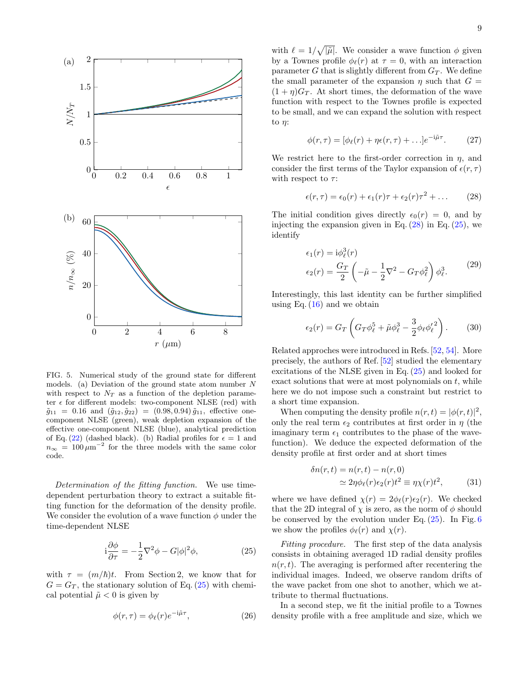

<span id="page-8-0"></span>FIG. 5. Numerical study of the ground state for different models. (a) Deviation of the ground state atom number N with respect to  $N_T$  as a function of the depletion parameter  $\epsilon$  for different models: two-component NLSE (red) with  $\tilde{g}_{11} = 0.16$  and  $(\tilde{g}_{12}, \tilde{g}_{22}) = (0.98, 0.94) \tilde{g}_{11}$ , effective onecomponent NLSE (green), weak depletion expansion of the effective one-component NLSE (blue), analytical prediction of Eq. [\(22\)](#page-7-4) (dashed black). (b) Radial profiles for  $\epsilon = 1$  and  $n_{\infty} = 100 \,\mu\text{m}^{-2}$  for the three models with the same color code.

Determination of the fitting function. We use timedependent perturbation theory to extract a suitable fitting function for the deformation of the density profile. We consider the evolution of a wave function  $\phi$  under the time-dependent NLSE

<span id="page-8-1"></span>
$$
i\frac{\partial \phi}{\partial \tau} = -\frac{1}{2}\nabla^2 \phi - G|\phi|^2 \phi,
$$
 (25)

with  $\tau = (m/\hbar)t$ . From Section 2, we know that for  $G = G_T$ , the stationary solution of Eq. [\(25\)](#page-8-1) with chemical potential  $\tilde{\mu}$  < 0 is given by

$$
\phi(r,\tau) = \phi_{\ell}(r)e^{-i\tilde{\mu}\tau},\qquad(26)
$$

with  $\ell = 1/\sqrt{|\tilde{\mu}|}$ . We consider a wave function  $\phi$  given by a Townes profile  $\phi_{\ell}(r)$  at  $\tau = 0$ , with an interaction parameter G that is slightly different from  $G_T$ . We define the small parameter of the expansion  $\eta$  such that  $G =$  $(1 + \eta)G_T$ . At short times, the deformation of the wave function with respect to the Townes profile is expected to be small, and we can expand the solution with respect to η:

$$
\phi(r,\tau) = [\phi_{\ell}(r) + \eta \epsilon(r,\tau) + \ldots]e^{-i\tilde{\mu}\tau}.
$$
 (27)

We restrict here to the first-order correction in  $\eta$ , and consider the first terms of the Taylor expansion of  $\epsilon(r, \tau)$ with respect to  $\tau$ :

<span id="page-8-2"></span>
$$
\epsilon(r,\tau) = \epsilon_0(r) + \epsilon_1(r)\tau + \epsilon_2(r)\tau^2 + \dots \qquad (28)
$$

The initial condition gives directly  $\epsilon_0(r) = 0$ , and by injecting the expansion given in Eq.  $(28)$  in Eq.  $(25)$ , we identify

$$
\epsilon_1(r) = i\phi_\ell^3(r)
$$
  
\n
$$
\epsilon_2(r) = \frac{G_T}{2} \left( -\tilde{\mu} - \frac{1}{2} \nabla^2 - G_T \phi_\ell^2 \right) \phi_\ell^3.
$$
 (29)

Interestingly, this last identity can be further simplified using Eq.  $(16)$  and we obtain

$$
\epsilon_2(r) = G_T \left( G_T \phi_\ell^5 + \tilde{\mu} \phi_\ell^3 - \frac{3}{2} \phi_\ell \phi_\ell^2 \right). \tag{30}
$$

Related approches were introduced in Refs. [\[52,](#page-5-12) [54\]](#page-5-14). More precisely, the authors of Ref. [\[52\]](#page-5-12) studied the elementary excitations of the NLSE given in Eq. [\(25\)](#page-8-1) and looked for exact solutions that were at most polynomials on  $t$ , while here we do not impose such a constraint but restrict to a short time expansion.

When computing the density profile  $n(r,t) = |\phi(r,t)|^2$ , only the real term  $\epsilon_2$  contributes at first order in  $\eta$  (the imaginary term  $\epsilon_1$  contributes to the phase of the wavefunction). We deduce the expected deformation of the density profile at first order and at short times

<span id="page-8-3"></span>
$$
\delta n(r,t) = n(r,t) - n(r,0)
$$
  
\n
$$
\simeq 2\eta \phi_{\ell}(r)\epsilon_2(r)t^2 \equiv \eta \chi(r)t^2,
$$
\n(31)

where we have defined  $\chi(r) = 2\phi_{\ell}(r)\epsilon_2(r)$ . We checked that the 2D integral of  $\chi$  is zero, as the norm of  $\phi$  should be conserved by the evolution under Eq.  $(25)$ . In Fig. [6](#page-9-0) we show the profiles  $\phi_{\ell}(r)$  and  $\chi(r)$ .

Fitting procedure. The first step of the data analysis consists in obtaining averaged 1D radial density profiles  $n(r, t)$ . The averaging is performed after recentering the individual images. Indeed, we observe random drifts of the wave packet from one shot to another, which we attribute to thermal fluctuations.

In a second step, we fit the initial profile to a Townes density profile with a free amplitude and size, which we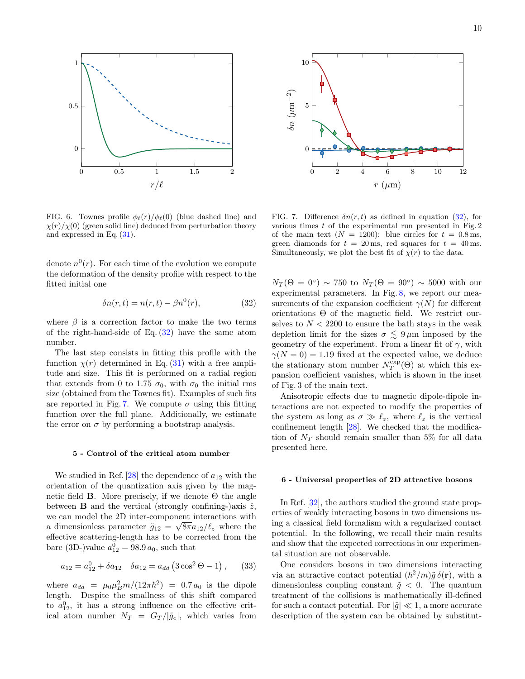

<span id="page-9-0"></span>FIG. 6. Townes profile  $\phi_{\ell}(r)/\phi_{\ell}(0)$  (blue dashed line) and  $\chi(r)/\chi(0)$  (green solid line) deduced from perturbation theory and expressed in Eq. [\(31\)](#page-8-3).

denote  $n^{0}(r)$ . For each time of the evolution we compute the deformation of the density profile with respect to the fitted initial one

<span id="page-9-1"></span>
$$
\delta n(r,t) = n(r,t) - \beta n^0(r),\tag{32}
$$

where  $\beta$  is a correction factor to make the two terms of the right-hand-side of Eq.  $(32)$  have the same atom number.

The last step consists in fitting this profile with the function  $\chi(r)$  determined in Eq. [\(31\)](#page-8-3) with a free amplitude and size. This fit is performed on a radial region that extends from 0 to 1.75  $\sigma_0$ , with  $\sigma_0$  the initial rms size (obtained from the Townes fit). Examples of such fits are reported in Fig. [7.](#page-9-2) We compute  $\sigma$  using this fitting function over the full plane. Additionally, we estimate the error on  $\sigma$  by performing a bootstrap analysis.

## 5 - Control of the critical atom number

We studied in Ref.  $[28]$  the dependence of  $a_{12}$  with the orientation of the quantization axis given by the magnetic field **B**. More precisely, if we denote  $\Theta$  the angle between **B** and the vertical (strongly confining-)axis  $\hat{z}$ , we can model the 2D inter-component interactions with a dimensionless parameter  $\tilde{g}_{12} = \sqrt{8\pi a_{12}}/\ell_z$  where the effective scattering-length has to be corrected from the bare (3D-)value  $a_{12}^0 = 98.9 a_0$ , such that

$$
a_{12} = a_{12}^0 + \delta a_{12} \quad \delta a_{12} = a_{dd} (3 \cos^2 \Theta - 1), \quad (33)
$$

where  $a_{dd} = \mu_0 \mu_B^2 m / (12 \pi \hbar^2) = 0.7 a_0$  is the dipole length. Despite the smallness of this shift compared to  $a_{12}^0$ , it has a strong influence on the effective critical atom number  $N_T = G_T/|\tilde{g}_e|$ , which varies from



<span id="page-9-2"></span>FIG. 7. Difference  $\delta n(r, t)$  as defined in equation [\(32\)](#page-9-1), for various times  $t$  of the experimental run presented in Fig.  $2$ of the main text  $(N = 1200)$ : blue circles for  $t = 0.8$  ms, green diamonds for  $t = 20$  ms, red squares for  $t = 40$  ms. Simultaneously, we plot the best fit of  $\chi(r)$  to the data.

 $N_T(\Theta=0^\circ)\sim 750$  to  $N_T(\Theta=90^\circ)\sim 5000$  with our experimental parameters. In Fig. [8,](#page-10-0) we report our measurements of the expansion coefficient  $\gamma(N)$  for different orientations  $\Theta$  of the magnetic field. We restrict ourselves to  $N < 2200$  to ensure the bath stays in the weak depletion limit for the sizes  $\sigma \lesssim 9 \,\mu \text{m}$  imposed by the geometry of the experiment. From a linear fit of  $\gamma$ , with  $\gamma(N=0) = 1.19$  fixed at the expected value, we deduce the stationary atom number  $N_T^{\exp}(\Theta)$  at which this expansion coefficient vanishes, which is shown in the inset of Fig. 3 of the main text.

Anisotropic effects due to magnetic dipole-dipole interactions are not expected to modify the properties of the system as long as  $\sigma \gg \ell_z$ , where  $\ell_z$  is the vertical confinement length [\[28\]](#page-4-18). We checked that the modification of  $N_T$  should remain smaller than 5% for all data presented here.

# 6 - Universal properties of 2D attractive bosons

In Ref. [\[32\]](#page-4-22), the authors studied the ground state properties of weakly interacting bosons in two dimensions using a classical field formalism with a regularized contact potential. In the following, we recall their main results and show that the expected corrections in our experimental situation are not observable.

One considers bosons in two dimensions interacting via an attractive contact potential  $(\hbar^2/m)\tilde{g}\,\delta(\mathbf{r})$ , with a dimensionless coupling constant  $\tilde{g} < 0$ . The quantum treatment of the collisions is mathematically ill-defined for such a contact potential. For  $|\tilde{q}| \ll 1$ , a more accurate description of the system can be obtained by substitut-